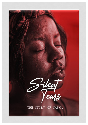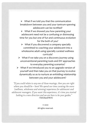$\triangleright$  What if we told you that the communication breakdown between you and your tantrum-spewing adolescent can be rectified?

 $\triangleright$  What if we showed you how parenting your adolescent need not be a confusing or distressing time for you but one of fun and continuous evolution for the both of you?

 $\triangleright$  What if you discovered a company specially committed to coaching your adolescent into a wholesome adult using specially curated wellness curricula?

 $\triangleright$  What if we take you on a discovery journey using unconventional parenting tools and DIY approaches to everyday parenting scenarios?

➢ What if we introduced you to an upgrade version of yourself and then take you on that journey to evolve dynamically so as to nurture an enfolding relationship between you and your adolescent?

"If you could relate to any one of those musings, then you are right where you should be  $-$  here! We spend our time curating the www (wellness, wholeness and winning) experience for adolescent and adolescent managers. If you want this experience, it's time you started looking in a new direction and we are here to be your guides." - TSAGEandTBOG

> $© 2020$ All rights reserved.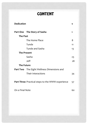## **CONTENT**

| <b>Dedication</b>                                |                                                   | v  |
|--------------------------------------------------|---------------------------------------------------|----|
|                                                  | Part One The Story of Sasha                       | 1  |
| <b>The Past</b>                                  |                                                   |    |
|                                                  | The Home Place                                    | 8  |
|                                                  | Tunde                                             | 11 |
|                                                  | Tunde and Sasha                                   | 13 |
| <b>The Present</b>                               |                                                   |    |
|                                                  | Sasha                                             | 23 |
|                                                  | Jeff                                              | 28 |
| <b>The Future</b>                                |                                                   |    |
|                                                  | <b>Part Two</b> The Eight Wellness Dimensions and |    |
|                                                  | Their Interactions                                | 34 |
| Part Three Practical steps to the WWW experience |                                                   | 57 |
| On a Final Note                                  |                                                   | 60 |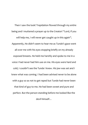Then I saw the look! Trepidation flowed through my entire being and I muttered a prayer up to the Creator! "Lord, if you will help me, I will never get caught up in this again"**.**  Apparently, He didn't seem to hear me as Tunde's gaze went all over me with his eyes stopping briefly on my already exposed breasts. He held me harshly and spoke to me in a voice I had never had him use on me. His eyes were hard and cold, I couldn't see the Tunde I knew. His jaw was set and I knew what was coming. I had been advised never to be alone with a guy so as not to get raped but Tunde had never been that kind of guy to me. He had been sweet and pure and perfect. But the person standing before me looked like the devil himself…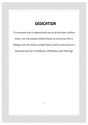#### **DEDICATION**

To everyone who is determined not to let the past confine them, nor the present define them; to everyone who is willing to let the future compel them; and to everyone on a personal journey to Wellness, Wholeness and Winning!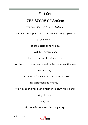### **Part One**

## THE STORY OF SASHA

*Will I ever find this love I truly desire?*

It's been many years and I can't seem to bring myself to

trust anyone.

I still feel scared and helpless,

Will this torment end?

I see the one my heart beats for,

Yet I can't move further to bask in the warmth of this love

he offers me,

Will this dent forever cause me to live a life of

dissatisfaction and longing?

Will it all go away so I can swirl in this beauty his radiance

brings to me?

*…sighs…*

My name is Sasha and this is my story...

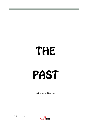# THE PAST

*…where it all began…*

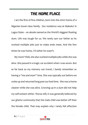### THE HOME PLACE

I am the first of five children, born into the strict home of a Nigerian lower-class family. Our residence was at Makoko<sup>i</sup> in Lagos State – an abode named as the World's biggest floating slum. Life was tough for us. We rarely saw our father as he worked multiple jobs just to make ends meet**.** And the few times he was home, I'd rather he wasn't.

My mom? Well, she also worked multiple jobs while she was alive. She passed in a tragic car accident when I was seven. But as far back as my memory can travel, I barely remember us having a *"me and mom"* time. She was typically out before we woke up and returned long past our bed time. She was a home cleaner while she was alive. Growing up in a *slum* did not help my self-esteem either. Worse still, it was generally believed by our *ghetto* community that the male child was better off than the female child. That may explain why I rarely felt affection

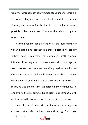from my father as much as my immediate younger brother did. I grew up feeling insecure because I felt nobody loved me and since my dad preferred my brother to me, I tried by all means possible to become a boy. That was the origin of my tom boyish traits.

I yearned for my dad's attention as the deer pants for water. I disliked my brother immensely because he had my father's heart. I remember days when my brother would intentionally wrong me and then run to our dad for refuge. He would weave the story so beautifully against me but so shallow that even a child would know it was a blatant lie, yet my dad would beat me blue black! My dad is really smart, I mean, he was the most literate person in my community. No one attains that by being a dunce, right? But somehow with my brother in the picture, it was a totally different story.

 I was the best in class *(I don't know how I managed to achieve that)* and also the best athlete all through from junior

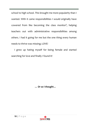school to high school. This brought me more popularity than I wanted. With it came responsibilities I would originally have cowered from like becoming the class monitor<sup>ii</sup>, helping teachers out with administrative responsibilities among others. I had it going for me but the one thing every human needs to thrive was missing; LOVE!

I grew up hating myself for being female and started searching for love and finally I found it!

*… Or so I thought…*

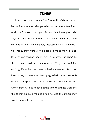#### **TUNDE**

He was everyone's dream guy. A lot of the girls were after him and he was always happy to be the centre of attraction. I really don't know how I got his heart but I was glad I did anyways, and I wasn't willing to let him go. However, there were other girls who were very interested in him and while I was naïve, they were very exposed. It made me feel even lesser as a person and though I strived to compete in being like them, I just could never measure up. They had lived the exciting life while I had always lived a sheltered life. I had insecurities, oh quite a lot. I was plagued with a very low selfesteem and a poor sense of self-worth; it really damaged me. Unfortunately, I had no idea at the time that these were the things that plagued me and I had no idea the import they would eventually have on me.

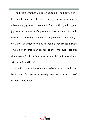I had fears whether logical or paranoid. I had gotten this love and I had no intention of letting go. But with these girls all over my guy, how do I compete? The one thing to bring me joy became the source of my everyday heartache. As girls with means and hotter bodies seductively winked at my man, I would watch anxiously hoping he would behave the same way I would if another man looked at me with such lust but disappointingly, he would always take the bait, leaving me with a shattered heart.

Now I know that I was in a make–believe relationship but back then, it felt like an answered prayer to my desperation of wanting to be loved…

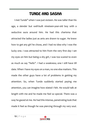### TUNDE AND SASHA

I met Tunde<sup>iii</sup> when I was just sixteen. He was taller than his age, a slender but well-built nineteen-year-old boy with a seductive aura around him. He had this charisma that attracted the ladies just as ants are drawn to sugar. He knew how to get any girl he chose, and I had no idea why I was the lucky one. I was attracted to him from the very first day I set my eyes on him but being a shy girl, I was too scared to even as much as say *"hello".* I had a weakness; one I still have till date. When I have my eyes on a man, no one else matters. This made the other guys have a lot of problems in getting my attention. So, when Tunde suddenly started paying me attention, you can imagine how elated I felt. He would talk at length with me and he made me feel so special. There was a way he gazed at me. He had this intense, penetrating look that made it feel as though he was piercing through my very soul.

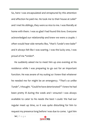So, here I was encapsulated and enraptured by this attention and affection he paid me. He took me to their house at *Lekkiiv* and I met his siblings, they were so nice to me. I was literally at home with them. I was so glad I had found this love. Everyone acknowledged our relationship and knew we were a couple. I often would hear side remarks like, *"that's Tunde's new babe"* and it always felt like I was soaring. I was the lucky one, I was proud of me *\*smiles\*.*

He suddenly asked me to meet him up one evening at his residence while I was preparing to go out for an important function. He was aware of my outing so I knew that whatever he needed me for might be an emergency. *"That's so unlike Tunde"*, I thought. *"Could he have deteriorated?*" I knew he had been pretty ill during the week and I ensured I was always available to cater to his needs the best I could. We had our regular meet up time, so it was quite disturbing for him to request my presence long before I was due to come. I got him

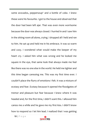some avocados, peppersoup $v$  and a bottle of coke. I knew these were his favourite. I got to the house and observed that the door had been left ajar. That was even more worrisome because the door was always closed. I hurried in and I saw him in the sitting room all alone, crying. I dropped all I held and ran to him. He sat up and held me in his embrace. It was so warm and cozy. I wondered what would make the keeper of my heart cry. I asked him what was wrong and he looked me square in the eye, that same look that always made me feel like there was no one else in the world. He held me tighter and this time began caressing me. This was my first time ever. I couldn't place the flurry of emotions I felt. It was a mixture of ecstasy and fear. Ecstasy because it opened the floodgates of tremor and pleasure but fear because I knew where it was headed and, for the first time, I didn't want this. I allowed him caress me a while and he gave me my first kiss. I didn't know how to respond so I let him lead. I realized that I was getting

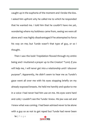caught up in the euphoria of the moment and I broke the kiss. I asked him upfront why he called me to which he responded that he wanted me. I told him that he couldn't have me yet, wondering where my boldness came from, seeing we were all alone and I was highly disadvantaged if he attempted to force his way on me; but Tunde wasn't that type of guy, *or so I thought*.

Then I saw the look! Trepidation flowed through my entire being and I muttered a prayer up to the Creator! *"Lord, if you will help me, I will never get into a relationship until I discover purpose".* Apparently, He didn't seem to hear me as Tunde's gaze went all over me with his eyes stopping briefly on my already exposed breasts. He held me harshly and spoke to me in a voice I had never had him use on me. His eyes were hard and cold, I couldn't see the Tunde I knew. His jaw was set and I knew what was coming. I had been advised never to be alone with a guy so as not to get raped but Tunde had never been

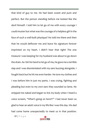that kind of guy to me. He had been sweet and pure and perfect. But the person standing before me looked like the devil himself. I told him to let go of me with every courage I could muster but what was the courage of a helpless girl in the face of such a well-built physique? He told me there and then that he would deflower me and leave his signature forever imprinted on my heart. I didn't hear that right! The one treasure I was keeping for my husband was about to go down the drain. As I bit his hand to let go of me, he gave me a terrible slap and I was disorientated with my ears buzzing alongside. I fought back but he hit me even harder. He tore my clothes and I was before him in just my pants. I was crying, fighting and pleading but even to my own ears they sounded so lame. He stripped me naked and began to lick my body when I heard a voice scream, *"What's going on here!!?"* I had never been so glad to hear an adult voice in my life like I was this day. His dad had come home unexpectedly to meet us in that position.

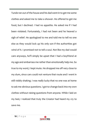Tunde ran out of the house and his dad went in to get me some clothes and asked me to take a shower. He offered to get me food, but I declined. I had no appetite. He asked me if I had been violated. Fortunately, I had not been and he heaved a sigh of relief. He apologized to me and told me to tell no one else as they would lock up his only son if the authorities got wind of it. I promised not to tell a soul. Not like my dad would care anyways, he'll simply be upset that I had a boyfriend at my age and embarrass me rather than emotionally help me. So true to my word, I kept mute. He dropped me off very close to my slum, since cars could not venture that route and I went in still visibly shaking. I was really lucky that no one was at home to ask me obvious questions. I got to change back into my own clothes without raising questions from anyone. While I laid on my bed, I realized that truly the Creator had heard my cry to save me.

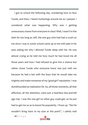I got to school the following day, wondering how to face Tunde, and then, I heard mutterings around me as I passed. I wondered what was happening. Why was I getting unnecessary stares from everyone in class? Well, I wasn't in the dark for too long as Jeff, the one guy who had had a crush on me since I was in Junior school came up to me with pain in his eyes asking me why I allowed Tunde sleep with me. He was almost crying as he told me how much he had loved me all those years and how I had refused to give him a chance but rather chose Tunde who everyone knew was just with me because he had a bet with the boys that he would take my virginity and make nonsense of my *'good-girl'* reputation. I was dumbfounded as realization hit. So, all those moments, all that affection, all the attention, were just a heartless kiss-and-tell ego trip. I was the one girl no other guy could get, so he just had to get me so as to boost his popularity. I froze up. *"No! He wouldn't bring tears to my eyes at this point",* I calmly told

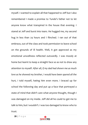myself. I wanted to explain all that happened to Jeff but I also remembered I made a promise to Tunde's father not to let anyone know what transpired in the house that evening. I stared at Jeff and burst into tears. He hugged me, my second hug in less than 24 hours and I flinched. I ran out of that embrace, out of the class and took permission to leave school on the grounds of ill health. Well, it got approved as my emotional unwellness reflected outwardly. I was moody at home but learnt to keep a straight face so as not to draw any attention to myself. *After all, if my dad had shown me as much love as he showed my brother, I would have been spared all the hurt,* I told myself, hating him even more. I braced up for school the following day and put up a face that portrayed a state of mind that didn't care what anyone thought, though I was damaged on my inside. Jeff did all he could to get me to talk to him, but I wouldn't. I was too damaged to know who to trust.

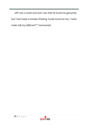Jeff was a sweet soul and I saw that he loved me genuinely but I had made a mistake thinking Tunde loved me too, *"what made Jeff any different?"* I bemoaned.

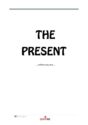## THE PRESENT

*…where you are…*

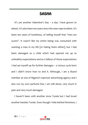#### **SASHA**

It's yet another Valentine's Day – a day I have grown to detest. It's also been ten years since the near-rape incident. It's been ten years of loneliness, of telling myself that *"men are scums"*. It wasn't like my entire being was consumed with wanting a man in my life [or hating them either], but I had been damaged as a child which had opened me up to unhealthy expectations and as a fallout of those expectations I had set myself up for further damages – a vicious cycle born and I didn't know how to end it. Although, I am a Board member at one of Nigeria's topmost advertising agency and I also run my own perfume line, I am still alone, very much in pain and very much damaged.

I haven't been with another since Tunde but I had loved another besides Tunde. Even though I hide behind feminism, I

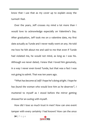know that I use that as my cover up to explain away the turmoil I feel.

Over the years, Jeff crosses my mind a lot more than I would love to acknowledge especially on Valentine's Day. After graduation, Jeff took me on a valentine date, my first date actually as Tunde and I never really went on any. He told me how he felt about me and said to me that even if Tunde had violated me, he would not mind, as long as I was his. Although we never dated, I knew that I loved him genuinely, in a way I never even loved Tunde, but that was a fact I was not going to admit. That was ten years ago.

*"What has become of Jeff? I hope he's doing alright. I hope he has found the woman who would love him as he deserves",* I muttered to myself as I stood before the mirror getting dressed for an outing with myself.

How did I lose so much trust in men? How can one event tamper with every certainty I had known? How can the once

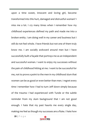upon a time sweet, innocent and loving girl, become transformed into this hurt, damaged and distrustful woman? I miss me a lot. I cry many times when I remember how my childhood experiences defined my path and made me into a broken entity. I am doing well in my career and business but I still do not feel whole. I have friends but not one of them truly know me. I am socially awkward around men but I have successfully built a façade that portrays me as an independent and successful woman. I want to enjoy my successes without the pain of childhood hitting at me. I want to be successful for me, not to prove a point to the men in my childhood slum that women can be as good or even better than men. I regret every time I remember how I had to turn Jeff down simply because of the trauma I had experienced with Tunde or the subtle reminder from my slum background that I am not good enough. I hate that my past haunts me every single day, making me feel as though my successes are a fluke. I hate how

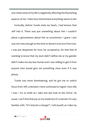one rotten area of my life is negatively affecting the flourishing aspects of me. I hate how intertwined everything seems to be!

Ironically, before Tunde stole my heart, I had known that Jeff had it. There was just something about him I couldn't place; a genuineness about him so uncommon. I guess I just was not wise enough at the time to discern true love from lust. I was just desperate for love, for acceptance, for that feel of wanting to know that my slum didn't define me or my gender didn't make me any less human and I was willing to get it from anyone who would give me something close even if it was phony.

Tunde was more domineering, and he got me to switch focus from Jeff, a decision I have continued to regret. How silly I was. I try to smile as I take one last look at the mirror. As usual, I can't find that joy on my inside but it's a terrain I'm very familiar with*. "It's time for a change!",* I tell myself, as I take my

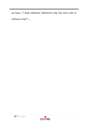car keys, "I shall celebrate Valentine's Day this time with or without a man" …

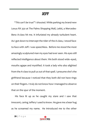**JEFF** 

"*This can't be true!"* I shouted. While parking my brand-new Lexus RX 350 at The Palms Shopping Mall, Lekki, a Mercedes-Benz A-class hit me. It infuriated my already turbulent heart. As I got down to intercept the rider of the A-class, I stood faceto-face with Jeff. I was speechless. Before me stood the most amazingly sculptured man my eyes had ever seen. His eyes still reflected intelligence about them. We both stood wide–eyed, mouths agape and mystified. It took a lady who also alighted from the A-class to pull us out of that spell. I presume she's the girlfriend because I noticed that they both did not have rings on their fingers. I truly do not know how I managed to observe that on the spur of the moment.

His face lit up as he caught my stare and I saw that innocent, caring Jeffery I used to know. He gave me a bear hug as he screamed my name. He introduced me to the other

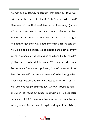woman as a colleague. Apparently, that didn't go down well with her as her face reflected disgust. But, hey! Who cared? Here was Jeff! Not like I was interested in him anyways *[or was I?]* so she didn't need to be scared. He was all over me like a school boy. He asked me about life and we talked at length. We both forgot there was another woman until she said she would like to be excused. We apologized and I gave Jeff my number to beep me as soon as he could and I left. I couldn't get him out of my head! This was Jeff! The only one who stood by me when Tunde destroyed every iota of self-worth I had left. This was Jeff, the one who wasn't afraid to be tagged my "hand-bag" because he always wanted to be where I was. This was Jeff who fought off some guys who were trying to harass me when they found out Tunde 'slept with me'. He got beaten for me and I didn't even treat him nice, yet he stood by me. After years of silence, I see him again and, apart from his body

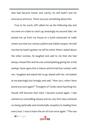that had become hotter and catchy, he still hadn't lost his innocence and love. There was just something about him.

True to his word, Jeff called me up the following day and we went on a date to catch up; amazingly my second date. He picked me up from my house to a Sushi restaurant at Lekki where we tried out various *sashimi* and *tobiko* recipes. He told me that he hadn't gotten me off his mind. When I asked about the other woman, he laughed and said to me that she had always chased him and he was contemplating giving her a trial seeing I never gave him a chance and he had lost contact with me. I laughed and asked him to go ahead with her. He looked at me piercingly but lovingly and said*, "How can I, when I have found you once again?"* Thoughts of Tunde came haunting me. Would Jeff become that man? I became scared again. I had started my counselling classes and my very first class centered on being spiritually and emotionally receptive to healing from every hurt. I was to learn the art of trust once again. *"This was* 

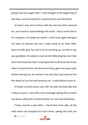*going to be one tough class"*, I had thought at the beginning of the class, not knowing that a practical test was imminent.

So here I was, face-to-face with the one my heart yearned for, yet scared to acknowledge this truth. I had a swell time in his company. He made me realize I could trust again and give my heart to another but was I really ready to try that? After hours of talk, gist, fun and a lot of catching up, we had to say our goodbyes. He asked to see me the following day and I lied that I'd be busy but that I would give him a call to let him know when I would be free. He drove me home, gave me a peck and, before leaving me, he stared at me and that look showed me the depth of love he had towards me. I could almost touch it.

It's been a month since I saw Jeff. He calls me every day and I refuse to pick. I sent him a text message asking him to leave me alone, telling him to find another as I was not interested.

Today, exactly a year after, I stand here from afar, at the mall where we bumped into each other, seeing him with yet

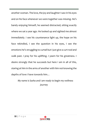another woman. The love, the joy and laughter I saw in his eyes and on his face whenever we were together was missing. He's barely enjoying himself, he seemed distracted; sitting exactly where we sat a year ago. He looked up and sighted me almost immediately. I see his countenance light up, the hope on his face rekindled, I see the question in his eyes, I see the emotions he's struggling to curtail but I just give a curt nod and walk past. I pray for his uplifting. I yearn for his greatness. I desire strongly that he succeeds but here I am in all of this, staring at him in the arms of another with him not knowing the depths of love I have towards him…

*My name is Sasha and I am ready to begin my wellness journey*

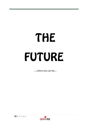# THE FUTURE

*…where you can be…*

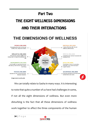#### **Part Two**

## THE FIGHT WELLNESS DIMENSIONS AND THEIR INTERACTIONS

## THE DIMENSIONS OF WELLNESS



**Image source: cpr.bu.edu**

We can totally relate to Sasha in many ways. It is interesting to note that quite a number of us have had challenges in some, if not all the eight dimensions of wellness. But even more disturbing is the fact that all these dimensions of wellness work together to affect the three components of the human

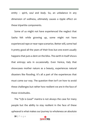entity – *spirit, soul* and *body.* So, an unbalance in any dimension of wellness, ultimately causes a ripple effect on these tripartite components.

Some of us might not have experienced the neglect that Sasha felt while growing up, some might not have experienced rape or near-rape scenarios. Better still, some had it pretty good all the years of their lives but one event usually happens that puts a dent on the bliss. The earth in itself shows that entropy sets in occasionally. Even Venice, Italy that showcases mother nature as a beauty, experiences natural disasters like flooding. It's all a part of the experiences that must come our way. The question then isn't on how to avoid these challenges but rather how resilient we are in the face of these vicissitudes.

The *"Life is Good"* mantra is not always the case for many people but the ability to stay resilient in the face of these upheaval is what makes our journey to wholeness an absolute



**<sup>35</sup> |** P a g e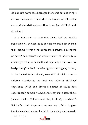delight. Life might have been good for some but one thing is certain, there comes a time when the balance we set is tilted and equilibrium is threatened. How do we deal with life in such situations?

It is interesting to note that about half the world's population will be exposed to at least one traumatic event in their lifetime.<sup>vi</sup> What if we tell you that a traumatic event preor during adolescence can entirely alter the possibility of attaining wholeness in adulthood especially if one does not heal properly? [Indeed, there is a right and wrong way to heal]. In the United States alone<sup>vii</sup>, over 60% of adults have as children experienced at least one adverse childhood experience (ACE), and almost a quarter of adults have experienced 3 or more ACEs. Scientists say that a score above 3 makes children 32 times more likely to struggle in schoolviii. But that's not all. As parents, we want our children to grow into independent adults, flourish in the society and generally

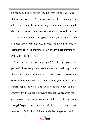be happy and content with life. But what we do not realize is that people with high ACE scores are more likely to engage in crime, have more broken marriages, more emotional health disasters, more autoimmune diseases and worse still, they are at a risk of their lifespan being shortened by 20 years!<sup>ix</sup> If these are associated with high ACE scores, should we not pay indepth attention to parenting? You wonder what parenting has got to do with all of these?

"Hurt people hurt other people", "broken people break people", these are popular statements that hold weight and there are scientific theories that back these up. Have you realized that when you are happy, you do your best to make others happy as well? But what happens when you are grumpy? My thoughts exactly! As parents, we are even more at risk to unintentionally break our children or set them up to struggle! A parent who never actually healed from any form of trauma will find it difficult being a wholesome parent. And it's

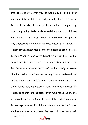impossible to give what you do not have. I'll give a brief example. John watched his dad, a drunk, abuse his mom so bad that she died in one of the assaults. John grew up absolutely hating his dad and ensured that none of his children ever went to visit their grand-dad or worse still participate in any adolescent fun-related activities because he feared his children might encounter alcohol and become a drunk just like his dad. What John however did not realize was that, in a bid to protect his children from the mistakes his father made, he had become somewhat narcissistic and so easily provoked that his children hated him desperately. They would sneak out to join their friends and became alcoholics eventually. When John found out, he became more vindictive towards his children and they in turn became even more rebellious and the cycle continued on and on. Of course, John ended up alone in his old age because his children blamed him for their poor choices and wanted to shield their own children from their

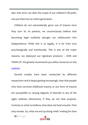dad. One error can alter the scope of our children's life-path, not iust them but an entire generation.

Children do not automatically grow out of trauma once they turn 18. As parents, we unconsciously believe that becoming legal suddenly plunges our adolescents into independence. While this is so legally, it is far from true psychologically and emotionally. This is one of the major reasons, we deployed our signature products – AWE and TRAIN UP. We greatly recommend you utilize resources on th[e](http://www.tsageandtbog.com/) [website.](http://www.tsageandtbog.com/)

Several studies have been conducted by different researchers and it keeps getting increasingly clear that people who have survived childhood trauma or any form of trauma are susceptible to varying degrees of disorder in any of the eight wellness dimensions, if they do not heal properly. Contrary to what we believe, time does not heal wounds. Time only reveals. So, what we end up doing while 'waiting for time

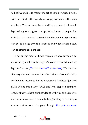to heal wounds' is to master the art of cohabiting side-by-side with the pain. In other words, we simply acclimatize. The scars are there. The hurts are there. And like a dormant volcano, it lays waiting for a trigger to erupt! What is even more peculiar is the fact that many of these childhood traumatic experiences can be, to a large extent, prevented and when it does occur, can be effectively managed.

In our engagement with adolescents, we have encountered an alarming number of teenagers/adolescents with incredibly high ACE scores. *[\[You can check ACE scores here\]](https://www.npr.org/sections/health-shots/2015/03/02/387007941/take-the-ace-quiz-and-learn-what-it-does-and-doesnt-mean).* We consider this very alarming because this affects the adolescent's ability to thrive as measured by the Adolescent Wellness Quotient (AWe-Q) and this is why TSAGE and I will stop at nothing to ensure that we share our knowledge with you as best as we can because we have a dream to bring healing to families, to ensure that no one else goes through the pain we went

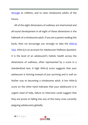[through](http://www.tsageandtbog.com/about-us) as children, and to raise wholesome adults of the future.

All of the eight dimensions of wellness are intertwined and all-round development in all eight of these dimensions is the hallmark of a wholesome adult. If you are a parent reading this book, then we encourage you strongly to take the **AWe-Q** [Test.](https://www.tsageandtbog.com/quiz/the-observatory-awe-q-test/) AWe-Q is an acronym for Adolescent Wellness Quotient. It is the level of an adolescent's holistic health across the dimensions of wellness, often represented by a score in a standardized test. A high AWe-Q score suggests that your adolescent is thriving instead of just surviving and is well on his/her way to becoming a wholesome adult. A low AWe-Q score on the other hand indicates that your adolescent is in urgent need of help, failure to intervene could suggest that they are prone to falling into any of the many vices currently plaguing adolescents globally.

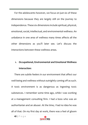For the adolescents however, we focus on just six of these dimensions because they are largely still on the journey to independence. These six dimensions include spiritual, physical, emotional, social, intellectual, and environmental wellness. An unbalance in one area of wellness many times affects all the other dimensions as you'll later see. Let's discuss the interactions between these wellness areas.

#### **1. Occupational, Environmental and Emotional Wellness Interaction:**

There are subtle feelers in our environment that affect our well-being and wellness without outrightly coming off as such. A toxic environment is as dangerous as ingesting toxic substances. I remember some time ago, while I was working at a management consulting firm. I had a boss who was an authoritarian and an abuser. At the time, I had no idea he was all of that. On my first day at work, there was a feel of gloom

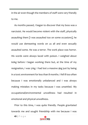in the air even though the members of staff were very friendly to me.

As months passed, I began to discover that my boss was a narcissist. He would become violent with the staff, physically assaulting them [I was assaulted too on some occasions], he would use demeaning words on us all and even sexually assaulted some. He was a terror. The work place was horror. His words were always laced with poison. I weighed about 60kg before I began working there but, at the time of my resignation, I was 51kg. I had lost a massive 9kg just by being in a toxic environment for less than 8 months. I fell ill too often because I was emotionally unbalanced and I was always making mistakes in my tasks because I was unsettled. My occupational/environmental unwellness had resulted in emotional and physical unwellness.

Prior to this time, I was quite friendly. People gravitated towards me and sought friendship with me because I was

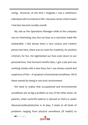caring. However, at the time I resigned, I was a withdrawn individual with no interest in life. I became a loner which meant I had also become socially unwell.

My role as the Operations Manager while at the company was an interesting one, but my boss as a narcissist made life unbearable. I had always been a very curious and creative person but here, there was no room for creativity, for positive criticism, for fun. He regimented our lives even down to our personal lives. Fast forward months later, I got a job and was working closely with a new boss, but I was always scared and suspicious of him – A symptom of emotional unwellness. All of these started by being in one toxic environment.

We need to realize that occupational and environmental unwellness are as big a problem as any of the other areas. As parents, when work-life balance is skewed or there is career dissonance/dissatisfaction is at play, it leads to all kinds of problems ranging from physical unwellness (ill health) to

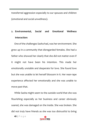transferred aggression especially to our spouses and children (emotional and social unwellness).

#### **2. Environmental, Social and Emotional Wellness Interaction:**

One of the challenges Sasha had, was her environment. She grew up in a community that disregarded females. She had a father who showed her clearly that she did not matter even if it might not have been his intention. This made her emotionally unstable and desperate for love. She found love but she was unable to let herself blossom in it. Her near-rape experience affected her emotionally and she was unable to move past that.

While Sasha might seem to the outside world that she was flourishing especially as her business and career obviously soared, she was damaged on the inside. She was broken. She did not truly have friends as she was too distrustful to bring

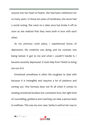anyone into her heart of hearts. She had been withdrawn for so many years. In those ten years of loneliness, she never had a social outing. She went on a date once but broke it off as soon as she realized that they were both in love with each other.

At my previous work place, I experienced bouts of depression. My creativity was dying, and my curiosity was being tamed. It got to me and when I couldn't handle it, I became severely depressed. It took help from TSAGE to bring me out of it.

Emotional unwellness is often the toughest to deal with because it is intangible and requires a lot of patience and sorting out. One formula does not fit all when it comes to tackling emotional burdens but consistent love, the right kind of counselling, guidance and coaching can take a person back to wellness. This was my own case. Sasha is well on her way to

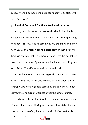recovery and I do hope she gets her happily ever after with Jeff. Don't you?

#### **3. Physical, Social and Emotional Wellness Interaction:**

Again, using Sasha as our case study, she disliked her body image as she wanted to be a boy. While I am not disparaging tom boys, *as I was one myself during my childhood and early teen years,* the reason for the discontent in her body was because she felt that if she became a boy, maybe her father would love her more. Again, we see the import parenting has on children. The effects go well into adulthood.

All the dimensions of wellness typically intersect. All it takes is for a breakdown in one dimension and poof! there is entropy. Like a rotting apple damaging the apple cart, so does damage to one area of wellness affect the others in time.

I had always been slim since I can remember. Maybe even slimmer than normal. During adolescence, I was taller than my age. But in spite of my being slim and tall, I had serious body



**<sup>47</sup> |** P a g e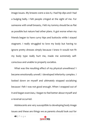image issues. My breasts were a size A, I had hip dips and I had a bulging belly. I felt people cringed at the sight of me. For someone with small breasts, I felt my tommy should be as flat as possible but nature had other plans. It got worse when my friends began to have curvy hips and buttocks while I stayed stagnant. I really struggled to love my body but having to ignore pretty dresses simply because I knew it would not fit my body type really hurt me, made me extremely selfconscious and unable to properly socialize.

What was the resulting effect of my physical unwellness? I became emotionally unwell. I developed inferiority complex. I looked down on myself and ultimately stopped socializing because I felt I was not good enough. When I snapped out of it and began exercises, I began to feel better about myself and a reversal occurred.

Adolescents are very susceptible to developing body image issues and these are things we as parents should look out for

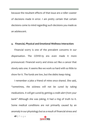because the resultant effects of that issue are a roller coaster of decisions made in error. I am pretty certain that certain decisions come to mind regarding such decisions you made as an adolescent.

#### **4. Financial, Physical and Emotional Wellness Interaction:**

Financial worry is one of the prevalent concerns in our dispensation. The COVID-19 era even made it more pronounced. Financial worry and stress act like a cancer that slowly eats one. It seems like we work so hard with so little to show for it. The funds are low, but the debts keep rising.

I remember a joke a friend of mine once shared. She said, *"sometimes, the sickness will not be cured by taking medications. It will get cured by getting a credit alert from your bank"* Although she was joking, it had a ring of truth to it. Some medical conditions are not primarily caused by an anomaly in our physiology but as a result of financial stress and

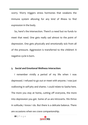worry. Worry triggers stress hormones that weakens the immune system allowing for any kind of illness to find expression in the body.

So, here's the intersection. There's a need but no funds to meet that need. One gets really sad almost to the point of depression. One gets physically and emotionally sick from all of the pressure. Aggression is transferred to the children! A negative cycle is born.

#### **5. Social and Emotional Wellness Interaction:**

I remember vividly a period of my life when I was depressed. I refused to go out or meet with anyone. I was just wallowing in self-pity and shame. I could relate to Sasha here. The more you stay at home, cutting off everyone, the more into depression you get. Some of us are introverts. We thrive in solitude; I know I do. But there is a delicate balance. There are occasions when we crave companionship.

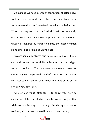As humans, we need a sense of connection, of belonging, a well- developed support system that, if not present, can cause social awkwardness and even family/relationship dysfunction. When that happens, such individual is said to be socially unwell. But it typically doesn't stop there. Social unwellness usually is triggered by other elements, the most common being emotional or physical unwellness.

Occupational unwellness also has a role to play, in that a career dissonance or work-life imbalance can also trigger social unwellness. The wellness dimensions have an interesting yet complicated blend of interaction. Just like an electrical connection in series, when one part burns out, it affects every other part.

One of our value offerings is to show you how to compartmentalize [an electrical parallel connection] so that while we are helping you through the damaged areas of wellness, all other areas are still very intact and healthy.

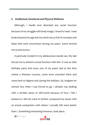#### **6. Intellectual, Emotional and Physical Wellness:**

Although, I hardly ever attended any social function because of my struggle with body image, I loved to read. I read books beyond my age and my mind was so full of concepts and ideas that were uncommon among my peers. Some termed me as precocious.

A particular incident in my adolescence stands out. My dad forced me to attend a social function with him. It was an elite birthday party and every one of my peers had at the time visited a Western country, some even schooled there and came back to Nigeria only during the holidays. So, imagine my utmost fury when I was forced to go. I already was dealing with a terrible sense of self-worth because of how I felt I looked so I did not want to further compound my issues with an actual comparison with others I actually felt were better than I. Something interesting however, took place.

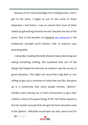Because of my vast knowledge from reading books, when I got to the party, I began to put to test some of those etiquettes I had learnt. I was so natural that most of them ended up galvanizing towards me and I became the star of the event. One of the benefits of engaging [our resources](http://www.tsageandtbog.com/blog) is the intellectual strength you'll interact with to improve your parenting skills.

I remember reading Mitchelle Obama's book, *Becoming* and seeing something striking. She explained that one of the things that helped her become an achiever was her access to good education. This might not sound like a big deal so I am willing to give you a summary of what that was like. She grew up in a community that some people termed, *"ghetto."* Families were moving out of that environment to give their children a shot at the good things of life. Her family stayed on but her mother ensured that she got the best education even in the 'ghetto'. Mitchelle would later say that, were it not for

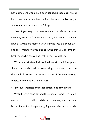her mother, she would have been set back academically by at least a year and would have had no chance at the Ivy League school she later attended for College.

Even if you stay in an environment that shuts out your creativity like Sasha's or my workplace, it is essential that you have a 'Mitchelle's mom' in your life who would be your eyes and ears, monitoring you and ensuring that you become the best you can be. We can be that to you if you let us.

When creativity is not allowed to flow without interruption, there is an intellectual prowess being shut down. It can be downright frustrating. Frustration is one of the major feelings that leads to emotional unwellness.

#### **7. Spiritual wellness and other dimensions of wellness:**

When there is hope beyond the scope of human limitation, man tends to aspire. He tends to keep breaking barriers. Hope is that flame that keeps you going even when all else fails.

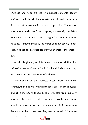Purpose and hope are the two natural elements deeply ingrained in the heart of one who is spiritually well. Purpose is like fire that burns even in the face of opposition. You cannot stop a person who has found purpose, whose daily breath is a reminder that there is a cause to fight for and a territory to take up. I remember clearly the words of a Sage saying, "hope does not disappoint" because truly when there is life, there is hope.

At the beginning of this book, I mentioned that the tripartite nature of man – Spirit, Soul and Body, are actively engaged in all the dimensions of wellness.

Interestingly, all the wellness areas affect two major entities, the emotional (which is the soul seat) and the physical (which is the body). It usually takes strength from our very essence (the Spirit) to fuel the will and desire to snap out of emotional unwellness. Have you seen people in coma who have no resolve to live, how they keep emaciating? But once

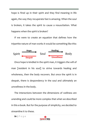hope is fired up in their spirit and they find meaning in life again, the way they recuperate fast is amazing. When the soul is broken, it takes the spirit to cause a resuscitation. What happens when the spirit is broken?

If we were to create an equation that defines how the tripartite nature of man works it would be something like this:



Once hope is kindled in the spirit man, it triggers the will of man [resident in his soul] to strive towards healing and wholeness, then the body recovers. But once the spirit is in despair, there is despondency in the soul and ultimately an unwellness in the body.

The interactions between the dimensions of wellness are unending and could be more complex that what we described in this e-book. But for the purpose of simplicity, we decided to streamline it to these.

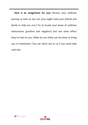**Here is an assignment for you:** Review your wellness journey as best as you can *(you might need your friends and family to help you out*.) Try to locate your areas of wellness interactions (positive and negative) and see what effect they've had on you. What do you think can be done to bring you to wholeness? You can reach out to us if you need help with this.

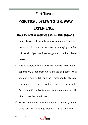#### **Part Three**

## PRACTICAL STEPS TO THE WWW **EXPERIENCE**

#### **How to Attain Wellness in All Dimensions**

- a) Separate yourself from toxic environments. Whatever does not aid your wellness is slowly damaging you. Cut off from it. If you need to change your location, please do so.
- b) Nature abhors vacuum. Once you have to go through a separation, either from work, places or people, that vacuum would be felt, and the temptation to return to the source of your unwellness becomes inevitable. Ensure you find substitutes for whatever you drop off, pick up healthy substitutes.
- c) Surround yourself with people who can help you and cheer you on. Nothing works faster than having a

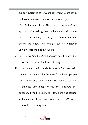support system to cover your back when you are down and to cheer you on when you are advancing.

- d) Like Sasha, seek help. There is no one-size-fits-all approach. Counselling sessions help you find out the "why" it happened, the "why" it's reoccurring, and shows the "how" to wriggle out of whatever unwellness is ongoing in your life.
- e) Eat healthy. Use the gym. Exercises help brighten the mood. Not to talk of the fitness it brings.
- f) It is essential you find work-life balance. "Is there really such a thing as work-life balance?" I've heard people ask. I have also been asked. We have a package (Workplace Emotions) for you that answers this question. If you'll like us to facilitate a training session with members of staff, kindly reach out to us. We offer you wellness in every area.

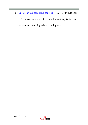g) [Enroll for our parenting courses](http://eepurl.com/g9WL21) [TRAIN UP] while you

sign up your adolescents to join the waiting list for our adolescent coaching school coming soon.

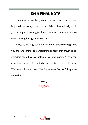## ON A FINAL NOTE

Thank you for involving us in your personal journey. We hope to hear from you as to how this book has helped you. If you have questions, suggestions, complaints, you can send an email to **tbog@tsageandtbog.com**

Finally, by visiting our website, **[www.tsageandtbog.com,](http://www.tsageandtbog.com/)** you are sure to find life transforming content that are, at once, entertaining, educative, informative and inspiring. You can also have access to periodic newsletters that help your Wellness, Wholeness and Winning journey. So, don't forget to subscribe!

> **Love, [TBOG](http://www.instagram.com/iamtbog)**

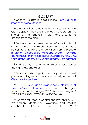#### **GLOSSARY**

<sup>i</sup> Makoko is a slum in Lagos, Nigeria. Here is a link to [images showing Makoko](https://www.google.com/search?q=makoko&sxsrf=ALeKk01ozAY_pCBwiObPsxXfMcBKzqntzQ:1602841982828&source=lnms&tbm=isch&sa=X&ved=2ahUKEwjXvJHY67jsAhUMDWMBHQdEBi8Q_AUoAXoECCMQAw&biw=1366&bih=625)

iiii Class Monitor. Some call them Class Governor or Class Captain. They are the ones who represent the interest of the teachers in class and ensures the orderliness of the class.

iii Tunde is the shortened version of Babatunde. It is a male name in the Yoruba tribe that literally means, Father Returns. Here is a definition from Wikipedia. [https://en.wikipedia.org/wiki/Babatunde#:~:text=Bab](https://en.wikipedia.org/wiki/Babatunde#:~:text=Babatunde%20(variant%20forms%3A%20Babatunji%2C,%2C%20grandfather%2C%20or%20great%20grandfather) [atunde%20\(variant%20forms%3A%20Babatunji%2C,%2](https://en.wikipedia.org/wiki/Babatunde#:~:text=Babatunde%20(variant%20forms%3A%20Babatunji%2C,%2C%20grandfather%2C%20or%20great%20grandfather) [C%20grandfather%2C%20or%20great%20grandfather](https://en.wikipedia.org/wiki/Babatunde#:~:text=Babatunde%20(variant%20forms%3A%20Babatunji%2C,%2C%20grandfather%2C%20or%20great%20grandfather)

iv Lekki is a city in Lagos, Nigeria usually occupied by the high class and elites

<sup>v</sup> Peppersoup is a Nigerian delicacy, primarily liquid, prepared using various meats and usually served hot. [Click here for pictures](https://www.google.com/search?q=peppersoup&sxsrf=ALeKk02r6t-PD9odMmVJhgxHFCyPnw8K3w:1602843164410&source=lnms&tbm=isch&sa=X&ved=2ahUKEwiKtseL8LjsAhUEuRoKHW0HBUAQ_AUoAXoECBYQAw)

vi [www.apa.org/advocacy/interpersonal](http://www.apa.org/advocacy/interpersonal-violence/women-trauma)[violence/women-trauma](http://www.apa.org/advocacy/interpersonal-violence/women-trauma) American Psychological Association. Written August 2017. Accessed August 9, 2020. FACTS ABOUT WOMEN AND TRAUMA

vii Centers for Disease Control and Prevention. CDC Washington. Identifying, Preventing, and Treating childhood Trauma. July 11, 2019.